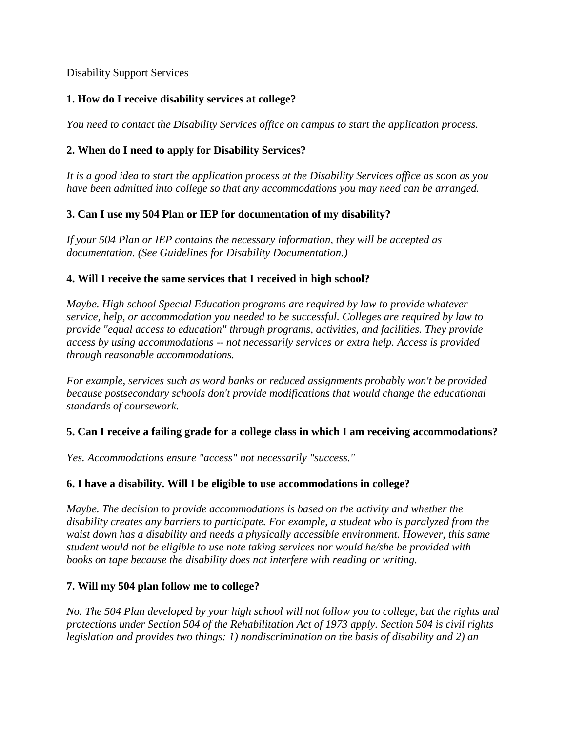Disability Support Services

# **1. How do I receive disability services at college?**

*You need to contact the Disability Services office on campus to start the application process.*

# **2. When do I need to apply for Disability Services?**

*It is a good idea to start the application process at the Disability Services office as soon as you have been admitted into college so that any accommodations you may need can be arranged.*

## **3. Can I use my 504 Plan or IEP for documentation of my disability?**

*If your 504 Plan or IEP contains the necessary information, they will be accepted as documentation. (See Guidelines for Disability Documentation.)*

## **4. Will I receive the same services that I received in high school?**

*Maybe. High school Special Education programs are required by law to provide whatever service, help, or accommodation you needed to be successful. Colleges are required by law to provide "equal access to education" through programs, activities, and facilities. They provide access by using accommodations -- not necessarily services or extra help. Access is provided through reasonable accommodations.*

*For example, services such as word banks or reduced assignments probably won't be provided because postsecondary schools don't provide modifications that would change the educational standards of coursework.*

## **5. Can I receive a failing grade for a college class in which I am receiving accommodations?**

*Yes. Accommodations ensure "access" not necessarily "success."*

## **6. I have a disability. Will I be eligible to use accommodations in college?**

*Maybe. The decision to provide accommodations is based on the activity and whether the disability creates any barriers to participate. For example, a student who is paralyzed from the waist down has a disability and needs a physically accessible environment. However, this same student would not be eligible to use note taking services nor would he/she be provided with books on tape because the disability does not interfere with reading or writing.*

## **7. Will my 504 plan follow me to college?**

*No. The 504 Plan developed by your high school will not follow you to college, but the rights and protections under Section 504 of the Rehabilitation Act of 1973 apply. Section 504 is civil rights legislation and provides two things: 1) nondiscrimination on the basis of disability and 2) an*